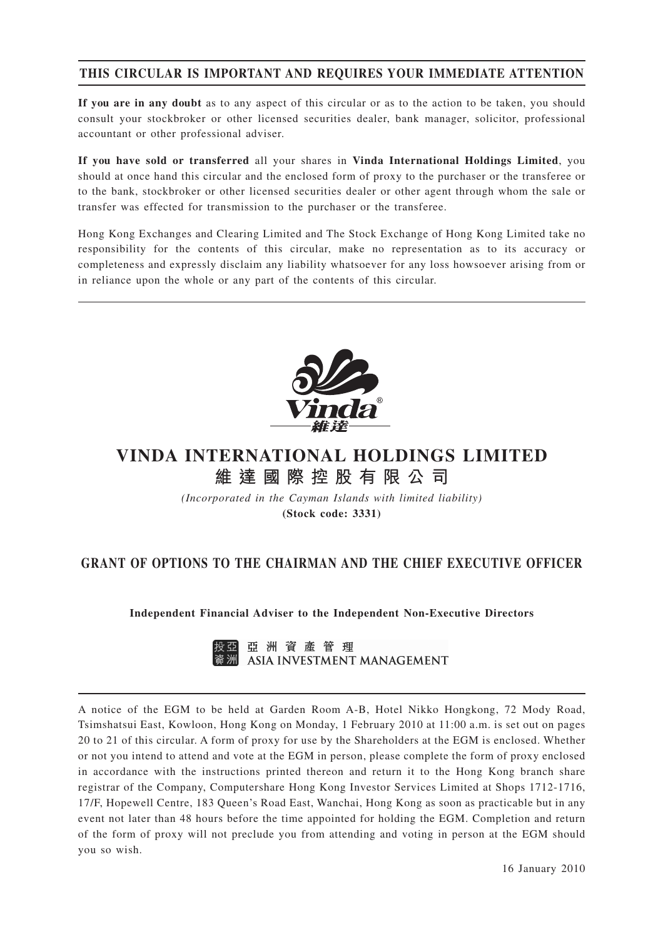# **THIS CIRCULAR IS IMPORTANT AND REQUIRES YOUR IMMEDIATE ATTENTION**

**If you are in any doubt** as to any aspect of this circular or as to the action to be taken, you should consult your stockbroker or other licensed securities dealer, bank manager, solicitor, professional accountant or other professional adviser.

**If you have sold or transferred** all your shares in **Vinda International Holdings Limited**, you should at once hand this circular and the enclosed form of proxy to the purchaser or the transferee or to the bank, stockbroker or other licensed securities dealer or other agent through whom the sale or transfer was effected for transmission to the purchaser or the transferee.

Hong Kong Exchanges and Clearing Limited and The Stock Exchange of Hong Kong Limited take no responsibility for the contents of this circular, make no representation as to its accuracy or completeness and expressly disclaim any liability whatsoever for any loss howsoever arising from or in reliance upon the whole or any part of the contents of this circular.



# **VINDA INTERNATIONAL HOLDINGS LIMITED 維達國際控股有限公司**

*(Incorporated in the Cayman Islands with limited liability)* **(Stock code: 3331)**

# **GRANT OF OPTIONS TO THE CHAIRMAN AND THE CHIEF EXECUTIVE OFFICER**

**Independent Financial Adviser to the Independent Non-Executive Directors**



A notice of the EGM to be held at Garden Room A-B, Hotel Nikko Hongkong, 72 Mody Road, Tsimshatsui East, Kowloon, Hong Kong on Monday, 1 February 2010 at 11:00 a.m. is set out on pages 20 to 21 of this circular. A form of proxy for use by the Shareholders at the EGM is enclosed. Whether or not you intend to attend and vote at the EGM in person, please complete the form of proxy enclosed in accordance with the instructions printed thereon and return it to the Hong Kong branch share registrar of the Company, Computershare Hong Kong Investor Services Limited at Shops 1712-1716, 17/F, Hopewell Centre, 183 Queen's Road East, Wanchai, Hong Kong as soon as practicable but in any event not later than 48 hours before the time appointed for holding the EGM. Completion and return of the form of proxy will not preclude you from attending and voting in person at the EGM should you so wish.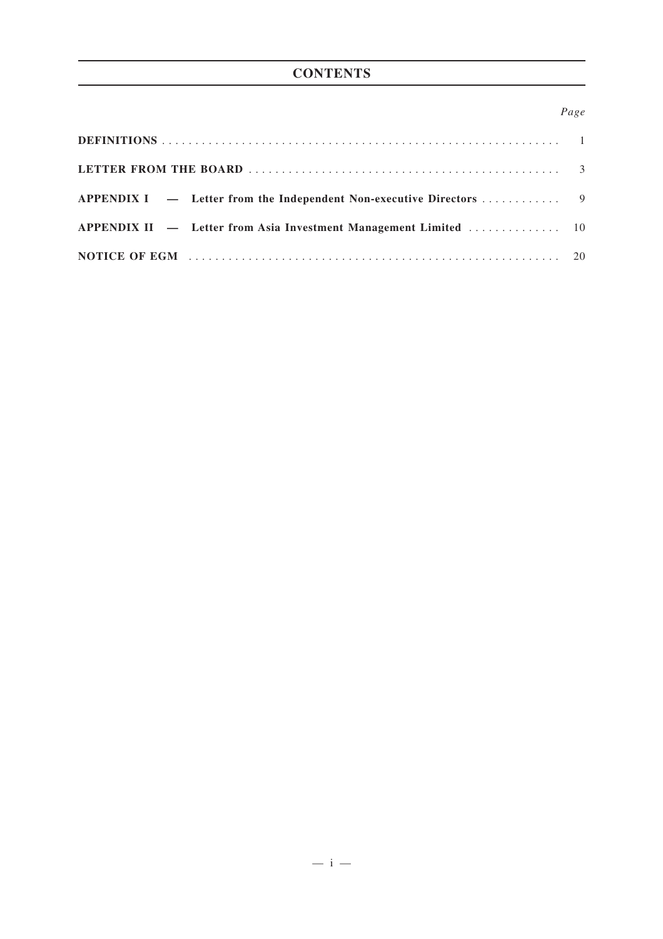# **CONTENTS**

## *Page*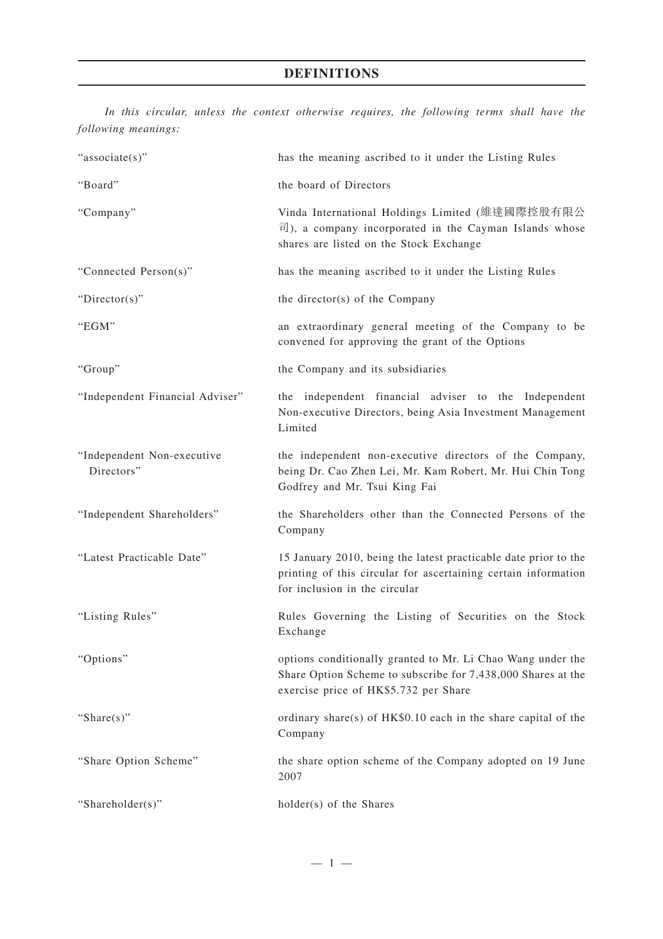*In this circular, unless the context otherwise requires, the following terms shall have the following meanings:*

| "associate(s)"                           | has the meaning ascribed to it under the Listing Rules                                                                                                                      |
|------------------------------------------|-----------------------------------------------------------------------------------------------------------------------------------------------------------------------------|
| "Board"                                  | the board of Directors                                                                                                                                                      |
| "Company"                                | Vinda International Holdings Limited (維達國際控股有限公<br>$\overline{\mathbb{E}}$ ), a company incorporated in the Cayman Islands whose<br>shares are listed on the Stock Exchange |
| "Connected Person(s)"                    | has the meaning ascribed to it under the Listing Rules                                                                                                                      |
| " $Directory$ "                          | the director(s) of the Company                                                                                                                                              |
| "EGM"                                    | an extraordinary general meeting of the Company to be<br>convened for approving the grant of the Options                                                                    |
| "Group"                                  | the Company and its subsidiaries                                                                                                                                            |
| "Independent Financial Adviser"          | the independent financial adviser to the Independent<br>Non-executive Directors, being Asia Investment Management<br>Limited                                                |
| "Independent Non-executive<br>Directors" | the independent non-executive directors of the Company,<br>being Dr. Cao Zhen Lei, Mr. Kam Robert, Mr. Hui Chin Tong<br>Godfrey and Mr. Tsui King Fai                       |
| "Independent Shareholders"               | the Shareholders other than the Connected Persons of the<br>Company                                                                                                         |
| "Latest Practicable Date"                | 15 January 2010, being the latest practicable date prior to the<br>printing of this circular for ascertaining certain information<br>for inclusion in the circular          |
| "Listing Rules"                          | Rules Governing the Listing of Securities on the Stock<br>Exchange                                                                                                          |
| "Options"                                | options conditionally granted to Mr. Li Chao Wang under the<br>Share Option Scheme to subscribe for 7,438,000 Shares at the<br>exercise price of HK\$5.732 per Share        |
| "Share $(s)$ "                           | ordinary share(s) of $HK$0.10$ each in the share capital of the<br>Company                                                                                                  |
| "Share Option Scheme"                    | the share option scheme of the Company adopted on 19 June<br>2007                                                                                                           |
| "Shareholder(s)"                         | holder(s) of the Shares                                                                                                                                                     |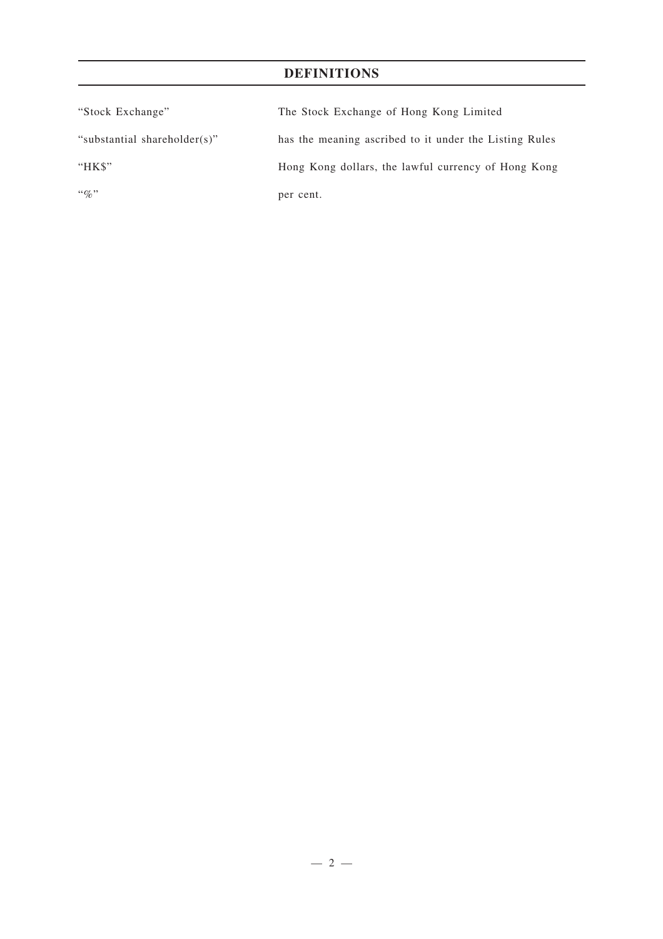# **DEFINITIONS**

| "Stock Exchange"             | The Stock Exchange of Hong Kong Limited                |
|------------------------------|--------------------------------------------------------|
| "substantial shareholder(s)" | has the meaning ascribed to it under the Listing Rules |
| "HK\$"                       | Hong Kong dollars, the lawful currency of Hong Kong    |
| $\lq\lq q_0$ "               | per cent.                                              |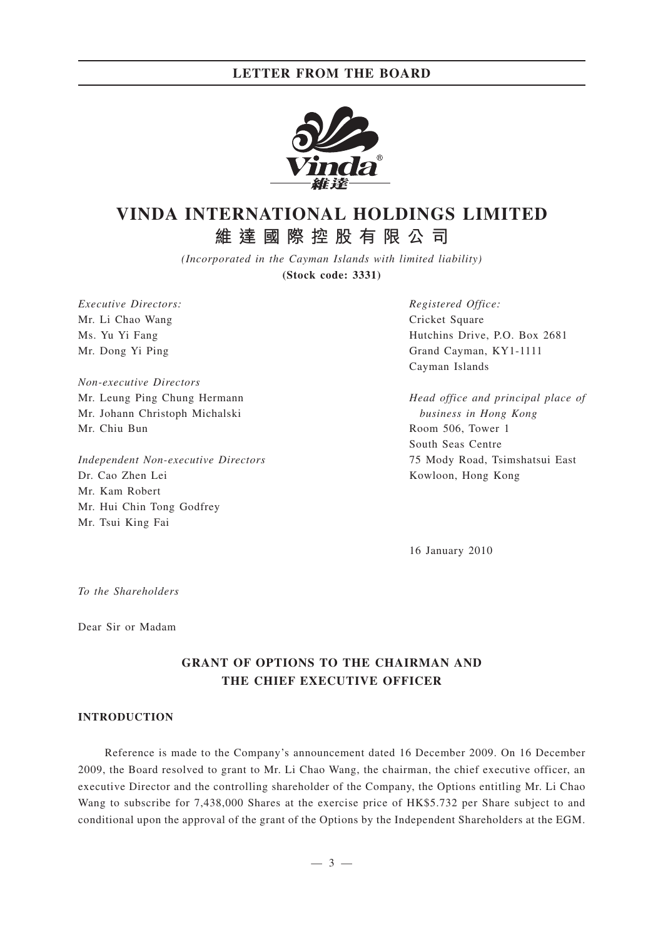

# **VINDA INTERNATIONAL HOLDINGS LIMITED 維達國際控股有限公司**

*(Incorporated in the Cayman Islands with limited liability)* **(Stock code: 3331)**

*Executive Directors:* Mr. Li Chao Wang Ms. Yu Yi Fang Mr. Dong Yi Ping

*Non-executive Directors* Mr. Leung Ping Chung Hermann Mr. Johann Christoph Michalski Mr. Chiu Bun

*Independent Non-executive Directors* Dr. Cao Zhen Lei Mr. Kam Robert Mr. Hui Chin Tong Godfrey Mr. Tsui King Fai

*Registered Office:* Cricket Square Hutchins Drive, P.O. Box 2681 Grand Cayman, KY1-1111 Cayman Islands

*Head office and principal place of business in Hong Kong* Room 506, Tower 1 South Seas Centre 75 Mody Road, Tsimshatsui East Kowloon, Hong Kong

16 January 2010

*To the Shareholders*

Dear Sir or Madam

# **GRANT OF OPTIONS TO THE CHAIRMAN AND THE CHIEF EXECUTIVE OFFICER**

### **INTRODUCTION**

Reference is made to the Company's announcement dated 16 December 2009. On 16 December 2009, the Board resolved to grant to Mr. Li Chao Wang, the chairman, the chief executive officer, an executive Director and the controlling shareholder of the Company, the Options entitling Mr. Li Chao Wang to subscribe for 7,438,000 Shares at the exercise price of HK\$5.732 per Share subject to and conditional upon the approval of the grant of the Options by the Independent Shareholders at the EGM.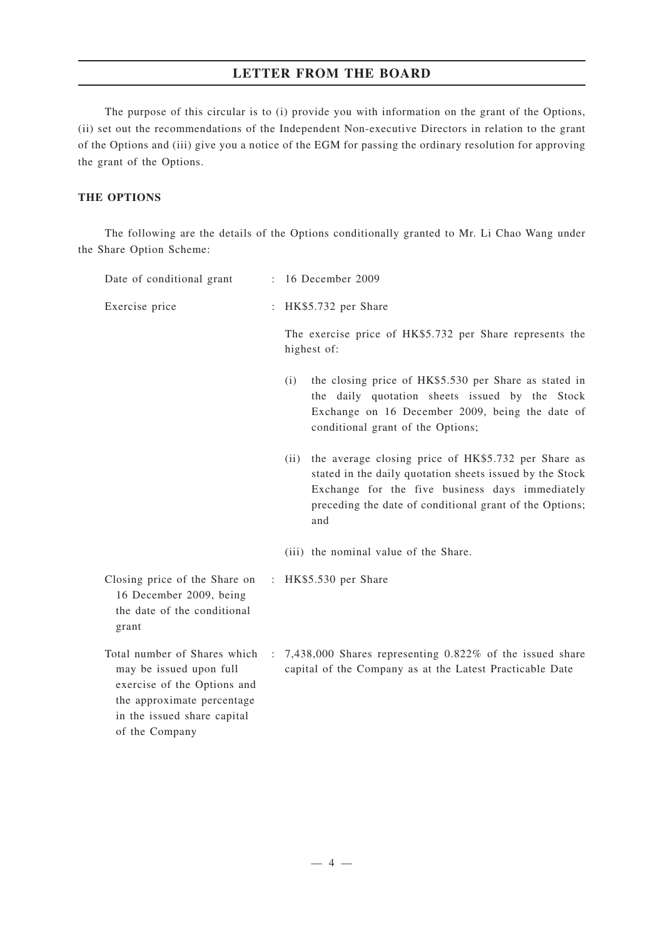The purpose of this circular is to (i) provide you with information on the grant of the Options, (ii) set out the recommendations of the Independent Non-executive Directors in relation to the grant of the Options and (iii) give you a notice of the EGM for passing the ordinary resolution for approving the grant of the Options.

### **THE OPTIONS**

The following are the details of the Options conditionally granted to Mr. Li Chao Wang under the Share Option Scheme:

| Date of conditional grant                                                                                                                                             | 16 December 2009                                                                                                                                                                                                                          |  |  |
|-----------------------------------------------------------------------------------------------------------------------------------------------------------------------|-------------------------------------------------------------------------------------------------------------------------------------------------------------------------------------------------------------------------------------------|--|--|
| Exercise price                                                                                                                                                        | : HK\$5.732 per Share                                                                                                                                                                                                                     |  |  |
|                                                                                                                                                                       | The exercise price of HK\$5.732 per Share represents the<br>highest of:                                                                                                                                                                   |  |  |
|                                                                                                                                                                       | the closing price of HK\$5.530 per Share as stated in<br>(i)<br>the daily quotation sheets issued by the Stock<br>Exchange on 16 December 2009, being the date of<br>conditional grant of the Options;                                    |  |  |
|                                                                                                                                                                       | (ii) the average closing price of HK\$5.732 per Share as<br>stated in the daily quotation sheets issued by the Stock<br>Exchange for the five business days immediately<br>preceding the date of conditional grant of the Options;<br>and |  |  |
|                                                                                                                                                                       | (iii) the nominal value of the Share.                                                                                                                                                                                                     |  |  |
| Closing price of the Share on<br>16 December 2009, being<br>the date of the conditional<br>grant                                                                      | : $HK$5.530$ per Share                                                                                                                                                                                                                    |  |  |
| Total number of Shares which<br>may be issued upon full<br>exercise of the Options and<br>the approximate percentage<br>in the issued share capital<br>of the Company | $\therefore$ 7,438,000 Shares representing 0.822% of the issued share<br>capital of the Company as at the Latest Practicable Date                                                                                                         |  |  |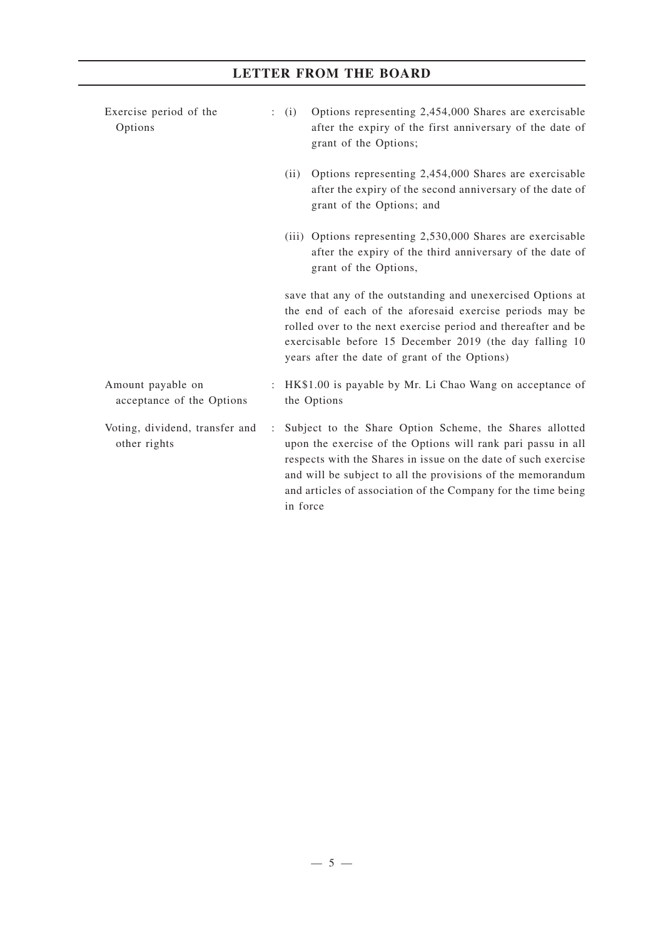# Exercise period of the Options : (i) Options representing 2,454,000 Shares are exercisable after the expiry of the first anniversary of the date of grant of the Options; (ii) Options representing 2,454,000 Shares are exercisable after the expiry of the second anniversary of the date of grant of the Options; and (iii) Options representing 2,530,000 Shares are exercisable after the expiry of the third anniversary of the date of grant of the Options, save that any of the outstanding and unexercised Options at the end of each of the aforesaid exercise periods may be rolled over to the next exercise period and thereafter and be exercisable before 15 December 2019 (the day falling 10 years after the date of grant of the Options) Amount payable on acceptance of the Options : HK\$1.00 is payable by Mr. Li Chao Wang on acceptance of the Options Voting, dividend, transfer and other rights : Subject to the Share Option Scheme, the Shares allotted upon the exercise of the Options will rank pari passu in all respects with the Shares in issue on the date of such exercise and will be subject to all the provisions of the memorandum and articles of association of the Company for the time being in force

**LETTER FROM THE BOARD**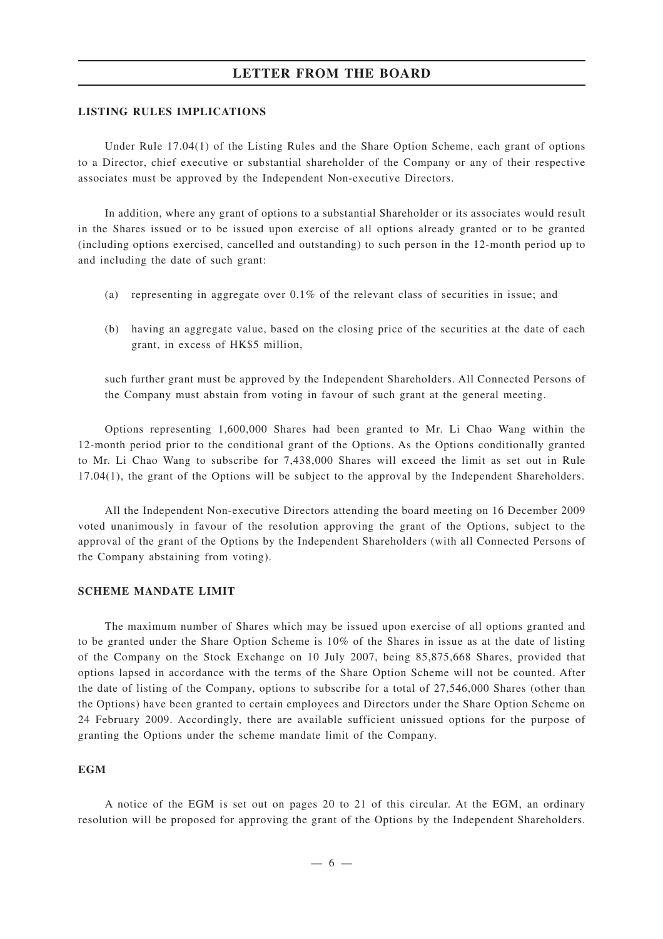### **LISTING RULES IMPLICATIONS**

Under Rule 17.04(1) of the Listing Rules and the Share Option Scheme, each grant of options to a Director, chief executive or substantial shareholder of the Company or any of their respective associates must be approved by the Independent Non-executive Directors.

In addition, where any grant of options to a substantial Shareholder or its associates would result in the Shares issued or to be issued upon exercise of all options already granted or to be granted (including options exercised, cancelled and outstanding) to such person in the 12-month period up to and including the date of such grant:

- (a) representing in aggregate over 0.1% of the relevant class of securities in issue; and
- (b) having an aggregate value, based on the closing price of the securities at the date of each grant, in excess of HK\$5 million,

such further grant must be approved by the Independent Shareholders. All Connected Persons of the Company must abstain from voting in favour of such grant at the general meeting.

Options representing 1,600,000 Shares had been granted to Mr. Li Chao Wang within the 12-month period prior to the conditional grant of the Options. As the Options conditionally granted to Mr. Li Chao Wang to subscribe for 7,438,000 Shares will exceed the limit as set out in Rule 17.04(1), the grant of the Options will be subject to the approval by the Independent Shareholders.

All the Independent Non-executive Directors attending the board meeting on 16 December 2009 voted unanimously in favour of the resolution approving the grant of the Options, subject to the approval of the grant of the Options by the Independent Shareholders (with all Connected Persons of the Company abstaining from voting).

### **SCHEME MANDATE LIMIT**

The maximum number of Shares which may be issued upon exercise of all options granted and to be granted under the Share Option Scheme is 10% of the Shares in issue as at the date of listing of the Company on the Stock Exchange on 10 July 2007, being 85,875,668 Shares, provided that options lapsed in accordance with the terms of the Share Option Scheme will not be counted. After the date of listing of the Company, options to subscribe for a total of 27,546,000 Shares (other than the Options) have been granted to certain employees and Directors under the Share Option Scheme on 24 February 2009. Accordingly, there are available sufficient unissued options for the purpose of granting the Options under the scheme mandate limit of the Company.

### **EGM**

A notice of the EGM is set out on pages 20 to 21 of this circular. At the EGM, an ordinary resolution will be proposed for approving the grant of the Options by the Independent Shareholders.

—6—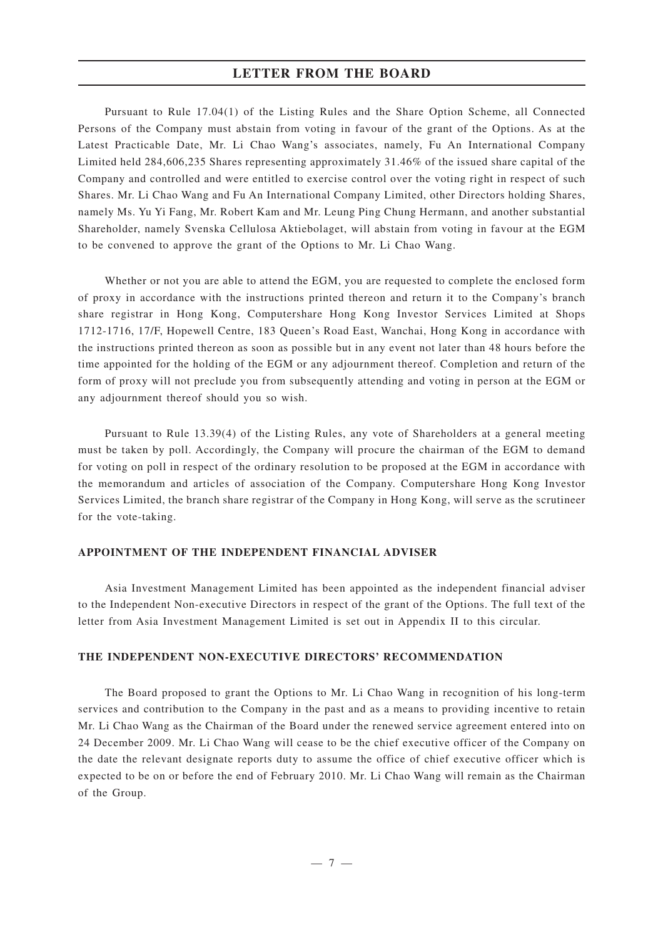Pursuant to Rule 17.04(1) of the Listing Rules and the Share Option Scheme, all Connected Persons of the Company must abstain from voting in favour of the grant of the Options. As at the Latest Practicable Date, Mr. Li Chao Wang's associates, namely, Fu An International Company Limited held 284,606,235 Shares representing approximately 31.46% of the issued share capital of the Company and controlled and were entitled to exercise control over the voting right in respect of such Shares. Mr. Li Chao Wang and Fu An International Company Limited, other Directors holding Shares, namely Ms. Yu Yi Fang, Mr. Robert Kam and Mr. Leung Ping Chung Hermann, and another substantial Shareholder, namely Svenska Cellulosa Aktiebolaget, will abstain from voting in favour at the EGM to be convened to approve the grant of the Options to Mr. Li Chao Wang.

Whether or not you are able to attend the EGM, you are requested to complete the enclosed form of proxy in accordance with the instructions printed thereon and return it to the Company's branch share registrar in Hong Kong, Computershare Hong Kong Investor Services Limited at Shops 1712-1716, 17/F, Hopewell Centre, 183 Queen's Road East, Wanchai, Hong Kong in accordance with the instructions printed thereon as soon as possible but in any event not later than 48 hours before the time appointed for the holding of the EGM or any adjournment thereof. Completion and return of the form of proxy will not preclude you from subsequently attending and voting in person at the EGM or any adjournment thereof should you so wish.

Pursuant to Rule 13.39(4) of the Listing Rules, any vote of Shareholders at a general meeting must be taken by poll. Accordingly, the Company will procure the chairman of the EGM to demand for voting on poll in respect of the ordinary resolution to be proposed at the EGM in accordance with the memorandum and articles of association of the Company. Computershare Hong Kong Investor Services Limited, the branch share registrar of the Company in Hong Kong, will serve as the scrutineer for the vote-taking.

### **APPOINTMENT OF THE INDEPENDENT FINANCIAL ADVISER**

Asia Investment Management Limited has been appointed as the independent financial adviser to the Independent Non-executive Directors in respect of the grant of the Options. The full text of the letter from Asia Investment Management Limited is set out in Appendix II to this circular.

### **THE INDEPENDENT NON-EXECUTIVE DIRECTORS' RECOMMENDATION**

The Board proposed to grant the Options to Mr. Li Chao Wang in recognition of his long-term services and contribution to the Company in the past and as a means to providing incentive to retain Mr. Li Chao Wang as the Chairman of the Board under the renewed service agreement entered into on 24 December 2009. Mr. Li Chao Wang will cease to be the chief executive officer of the Company on the date the relevant designate reports duty to assume the office of chief executive officer which is expected to be on or before the end of February 2010. Mr. Li Chao Wang will remain as the Chairman of the Group.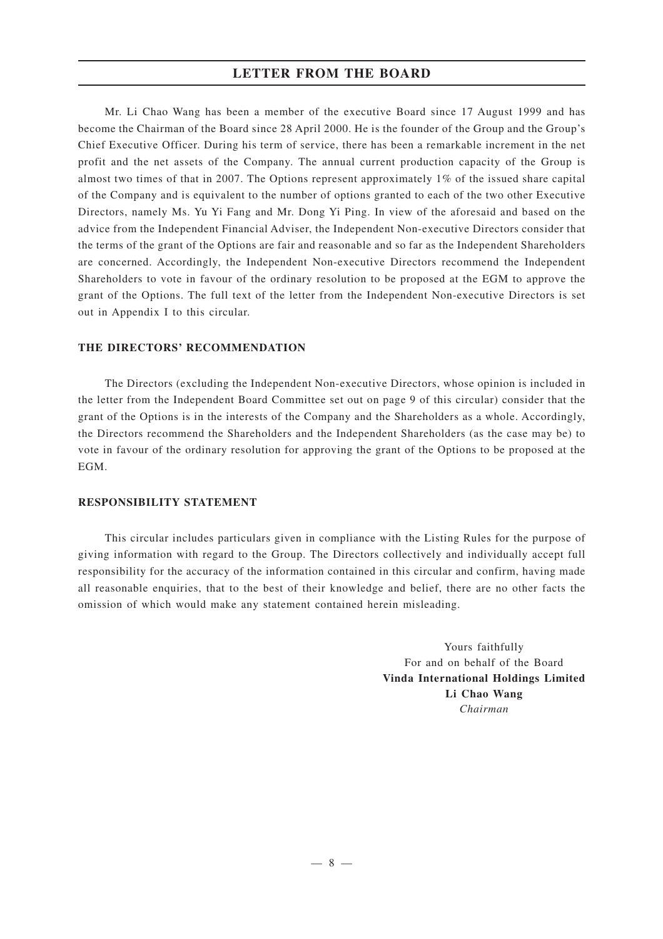Mr. Li Chao Wang has been a member of the executive Board since 17 August 1999 and has become the Chairman of the Board since 28 April 2000. He is the founder of the Group and the Group's Chief Executive Officer. During his term of service, there has been a remarkable increment in the net profit and the net assets of the Company. The annual current production capacity of the Group is almost two times of that in 2007. The Options represent approximately 1% of the issued share capital of the Company and is equivalent to the number of options granted to each of the two other Executive Directors, namely Ms. Yu Yi Fang and Mr. Dong Yi Ping. In view of the aforesaid and based on the advice from the Independent Financial Adviser, the Independent Non-executive Directors consider that the terms of the grant of the Options are fair and reasonable and so far as the Independent Shareholders are concerned. Accordingly, the Independent Non-executive Directors recommend the Independent Shareholders to vote in favour of the ordinary resolution to be proposed at the EGM to approve the grant of the Options. The full text of the letter from the Independent Non-executive Directors is set out in Appendix I to this circular.

### **THE DIRECTORS' RECOMMENDATION**

The Directors (excluding the Independent Non-executive Directors, whose opinion is included in the letter from the Independent Board Committee set out on page 9 of this circular) consider that the grant of the Options is in the interests of the Company and the Shareholders as a whole. Accordingly, the Directors recommend the Shareholders and the Independent Shareholders (as the case may be) to vote in favour of the ordinary resolution for approving the grant of the Options to be proposed at the EGM.

### **RESPONSIBILITY STATEMENT**

This circular includes particulars given in compliance with the Listing Rules for the purpose of giving information with regard to the Group. The Directors collectively and individually accept full responsibility for the accuracy of the information contained in this circular and confirm, having made all reasonable enquiries, that to the best of their knowledge and belief, there are no other facts the omission of which would make any statement contained herein misleading.

> Yours faithfully For and on behalf of the Board **Vinda International Holdings Limited Li Chao Wang** *Chairman*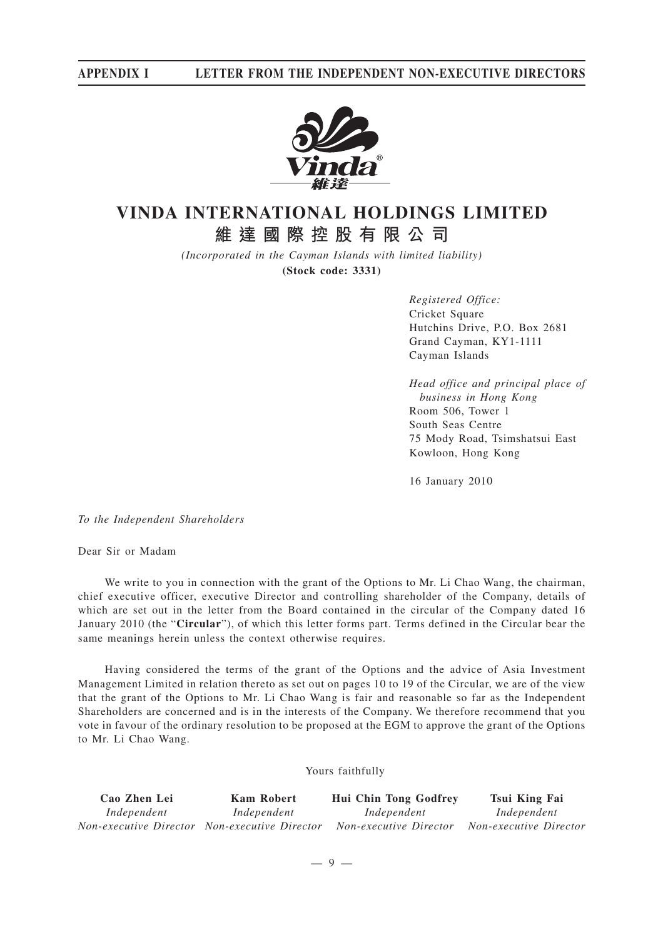

# **VINDA INTERNATIONAL HOLDINGS LIMITED 維達國際控股有限公司**

*(Incorporated in the Cayman Islands with limited liability)* **(Stock code: 3331)**

> *Registered Office:* Cricket Square Hutchins Drive, P.O. Box 2681 Grand Cayman, KY1-1111 Cayman Islands

*Head office and principal place of business in Hong Kong* Room 506, Tower 1 South Seas Centre 75 Mody Road, Tsimshatsui East Kowloon, Hong Kong

16 January 2010

*To the Independent Shareholders*

Dear Sir or Madam

We write to you in connection with the grant of the Options to Mr. Li Chao Wang, the chairman, chief executive officer, executive Director and controlling shareholder of the Company, details of which are set out in the letter from the Board contained in the circular of the Company dated 16 January 2010 (the "**Circular**"), of which this letter forms part. Terms defined in the Circular bear the same meanings herein unless the context otherwise requires.

Having considered the terms of the grant of the Options and the advice of Asia Investment Management Limited in relation thereto as set out on pages 10 to 19 of the Circular, we are of the view that the grant of the Options to Mr. Li Chao Wang is fair and reasonable so far as the Independent Shareholders are concerned and is in the interests of the Company. We therefore recommend that you vote in favour of the ordinary resolution to be proposed at the EGM to approve the grant of the Options to Mr. Li Chao Wang.

### Yours faithfully

| Cao Zhen Lei | Kam Robert                                    | <b>Hui Chin Tong Godfrey</b> | Tsui King Fai          |
|--------------|-----------------------------------------------|------------------------------|------------------------|
| Independent  | Independent                                   | Independent                  | Independent            |
|              | Non-executive Director Non-executive Director | Non-executive Director       | Non-executive Director |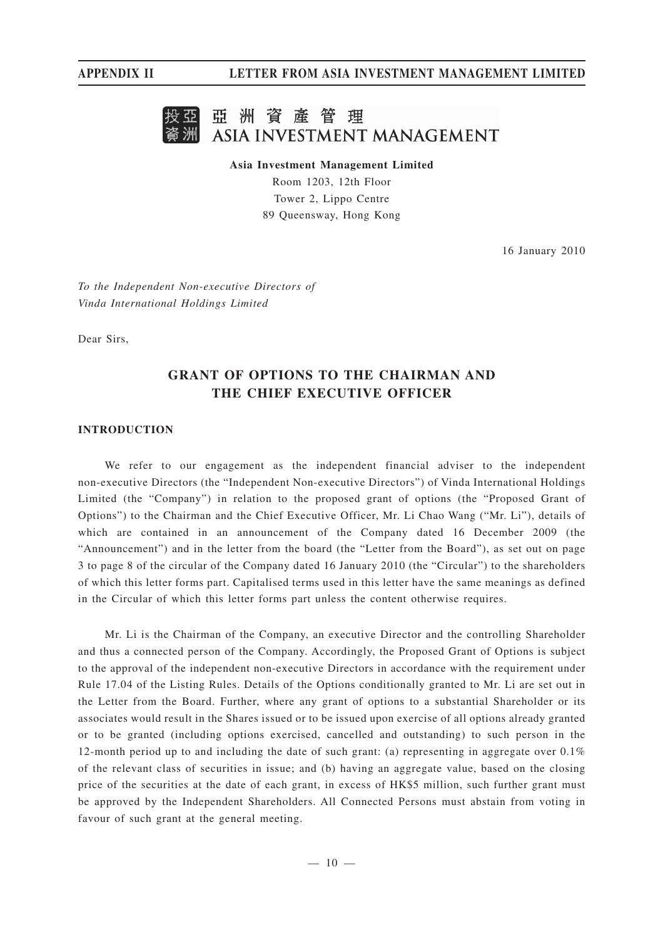

**Asia Investment Management Limited**

Room 1203, 12th Floor Tower 2, Lippo Centre 89 Queensway, Hong Kong

16 January 2010

*To the Independent Non-executive Directors of Vinda International Holdings Limited*

Dear Sirs,

# **GRANT OF OPTIONS TO THE CHAIRMAN AND THE CHIEF EXECUTIVE OFFICER**

### **INTRODUCTION**

We refer to our engagement as the independent financial adviser to the independent non-executive Directors (the "Independent Non-executive Directors") of Vinda International Holdings Limited (the "Company") in relation to the proposed grant of options (the "Proposed Grant of Options") to the Chairman and the Chief Executive Officer, Mr. Li Chao Wang ("Mr. Li"), details of which are contained in an announcement of the Company dated 16 December 2009 (the "Announcement") and in the letter from the board (the "Letter from the Board"), as set out on page 3 to page 8 of the circular of the Company dated 16 January 2010 (the "Circular") to the shareholders of which this letter forms part. Capitalised terms used in this letter have the same meanings as defined in the Circular of which this letter forms part unless the content otherwise requires.

Mr. Li is the Chairman of the Company, an executive Director and the controlling Shareholder and thus a connected person of the Company. Accordingly, the Proposed Grant of Options is subject to the approval of the independent non-executive Directors in accordance with the requirement under Rule 17.04 of the Listing Rules. Details of the Options conditionally granted to Mr. Li are set out in the Letter from the Board. Further, where any grant of options to a substantial Shareholder or its associates would result in the Shares issued or to be issued upon exercise of all options already granted or to be granted (including options exercised, cancelled and outstanding) to such person in the 12-month period up to and including the date of such grant: (a) representing in aggregate over 0.1% of the relevant class of securities in issue; and (b) having an aggregate value, based on the closing price of the securities at the date of each grant, in excess of HK\$5 million, such further grant must be approved by the Independent Shareholders. All Connected Persons must abstain from voting in favour of such grant at the general meeting.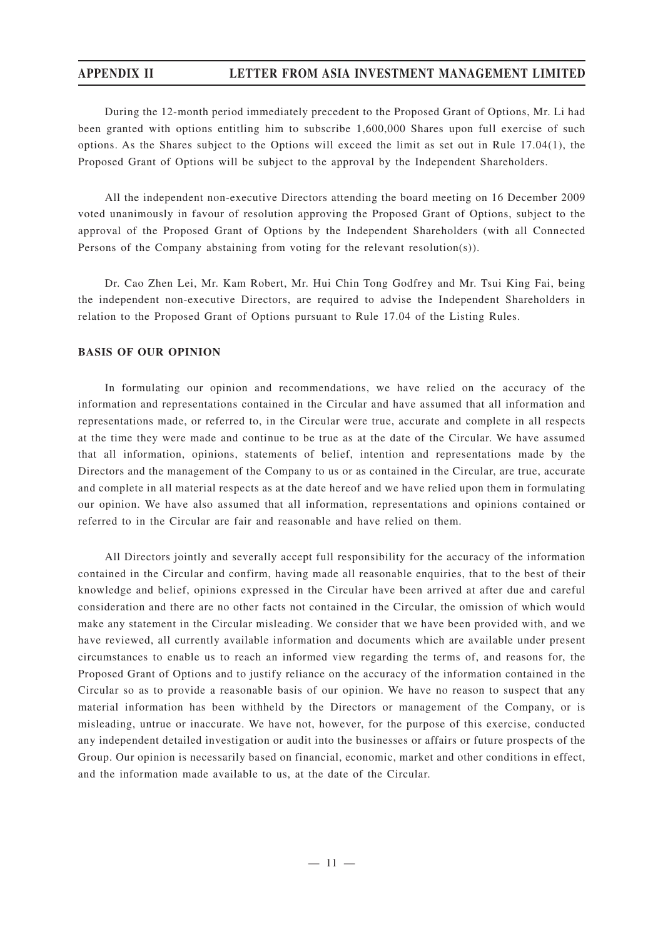During the 12-month period immediately precedent to the Proposed Grant of Options, Mr. Li had been granted with options entitling him to subscribe 1,600,000 Shares upon full exercise of such options. As the Shares subject to the Options will exceed the limit as set out in Rule 17.04(1), the Proposed Grant of Options will be subject to the approval by the Independent Shareholders.

All the independent non-executive Directors attending the board meeting on 16 December 2009 voted unanimously in favour of resolution approving the Proposed Grant of Options, subject to the approval of the Proposed Grant of Options by the Independent Shareholders (with all Connected Persons of the Company abstaining from voting for the relevant resolution(s)).

Dr. Cao Zhen Lei, Mr. Kam Robert, Mr. Hui Chin Tong Godfrey and Mr. Tsui King Fai, being the independent non-executive Directors, are required to advise the Independent Shareholders in relation to the Proposed Grant of Options pursuant to Rule 17.04 of the Listing Rules.

### **BASIS OF OUR OPINION**

In formulating our opinion and recommendations, we have relied on the accuracy of the information and representations contained in the Circular and have assumed that all information and representations made, or referred to, in the Circular were true, accurate and complete in all respects at the time they were made and continue to be true as at the date of the Circular. We have assumed that all information, opinions, statements of belief, intention and representations made by the Directors and the management of the Company to us or as contained in the Circular, are true, accurate and complete in all material respects as at the date hereof and we have relied upon them in formulating our opinion. We have also assumed that all information, representations and opinions contained or referred to in the Circular are fair and reasonable and have relied on them.

All Directors jointly and severally accept full responsibility for the accuracy of the information contained in the Circular and confirm, having made all reasonable enquiries, that to the best of their knowledge and belief, opinions expressed in the Circular have been arrived at after due and careful consideration and there are no other facts not contained in the Circular, the omission of which would make any statement in the Circular misleading. We consider that we have been provided with, and we have reviewed, all currently available information and documents which are available under present circumstances to enable us to reach an informed view regarding the terms of, and reasons for, the Proposed Grant of Options and to justify reliance on the accuracy of the information contained in the Circular so as to provide a reasonable basis of our opinion. We have no reason to suspect that any material information has been withheld by the Directors or management of the Company, or is misleading, untrue or inaccurate. We have not, however, for the purpose of this exercise, conducted any independent detailed investigation or audit into the businesses or affairs or future prospects of the Group. Our opinion is necessarily based on financial, economic, market and other conditions in effect, and the information made available to us, at the date of the Circular.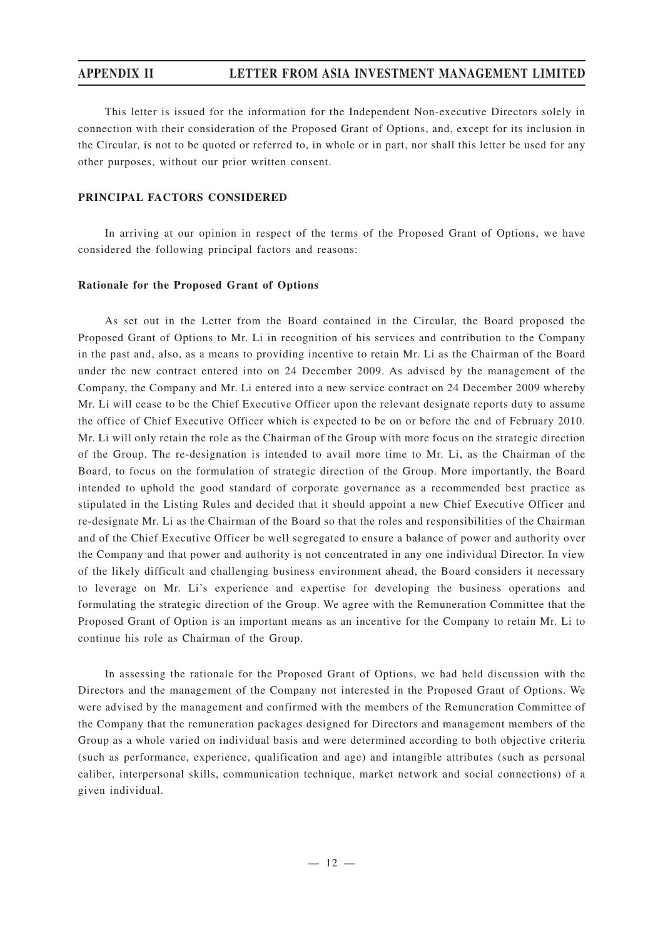This letter is issued for the information for the Independent Non-executive Directors solely in connection with their consideration of the Proposed Grant of Options, and, except for its inclusion in the Circular, is not to be quoted or referred to, in whole or in part, nor shall this letter be used for any other purposes, without our prior written consent.

### **PRINCIPAL FACTORS CONSIDERED**

In arriving at our opinion in respect of the terms of the Proposed Grant of Options, we have considered the following principal factors and reasons:

### **Rationale for the Proposed Grant of Options**

As set out in the Letter from the Board contained in the Circular, the Board proposed the Proposed Grant of Options to Mr. Li in recognition of his services and contribution to the Company in the past and, also, as a means to providing incentive to retain Mr. Li as the Chairman of the Board under the new contract entered into on 24 December 2009. As advised by the management of the Company, the Company and Mr. Li entered into a new service contract on 24 December 2009 whereby Mr. Li will cease to be the Chief Executive Officer upon the relevant designate reports duty to assume the office of Chief Executive Officer which is expected to be on or before the end of February 2010. Mr. Li will only retain the role as the Chairman of the Group with more focus on the strategic direction of the Group. The re-designation is intended to avail more time to Mr. Li, as the Chairman of the Board, to focus on the formulation of strategic direction of the Group. More importantly, the Board intended to uphold the good standard of corporate governance as a recommended best practice as stipulated in the Listing Rules and decided that it should appoint a new Chief Executive Officer and re-designate Mr. Li as the Chairman of the Board so that the roles and responsibilities of the Chairman and of the Chief Executive Officer be well segregated to ensure a balance of power and authority over the Company and that power and authority is not concentrated in any one individual Director. In view of the likely difficult and challenging business environment ahead, the Board considers it necessary to leverage on Mr. Li's experience and expertise for developing the business operations and formulating the strategic direction of the Group. We agree with the Remuneration Committee that the Proposed Grant of Option is an important means as an incentive for the Company to retain Mr. Li to continue his role as Chairman of the Group.

In assessing the rationale for the Proposed Grant of Options, we had held discussion with the Directors and the management of the Company not interested in the Proposed Grant of Options. We were advised by the management and confirmed with the members of the Remuneration Committee of the Company that the remuneration packages designed for Directors and management members of the Group as a whole varied on individual basis and were determined according to both objective criteria (such as performance, experience, qualification and age) and intangible attributes (such as personal caliber, interpersonal skills, communication technique, market network and social connections) of a given individual.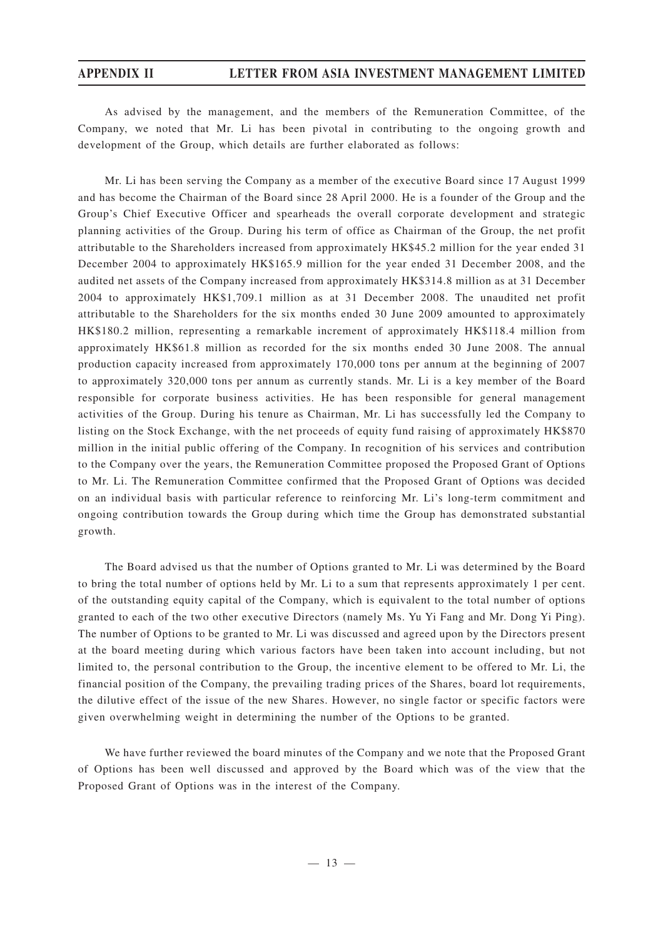As advised by the management, and the members of the Remuneration Committee, of the Company, we noted that Mr. Li has been pivotal in contributing to the ongoing growth and development of the Group, which details are further elaborated as follows:

Mr. Li has been serving the Company as a member of the executive Board since 17 August 1999 and has become the Chairman of the Board since 28 April 2000. He is a founder of the Group and the Group's Chief Executive Officer and spearheads the overall corporate development and strategic planning activities of the Group. During his term of office as Chairman of the Group, the net profit attributable to the Shareholders increased from approximately HK\$45.2 million for the year ended 31 December 2004 to approximately HK\$165.9 million for the year ended 31 December 2008, and the audited net assets of the Company increased from approximately HK\$314.8 million as at 31 December 2004 to approximately HK\$1,709.1 million as at 31 December 2008. The unaudited net profit attributable to the Shareholders for the six months ended 30 June 2009 amounted to approximately HK\$180.2 million, representing a remarkable increment of approximately HK\$118.4 million from approximately HK\$61.8 million as recorded for the six months ended 30 June 2008. The annual production capacity increased from approximately 170,000 tons per annum at the beginning of 2007 to approximately 320,000 tons per annum as currently stands. Mr. Li is a key member of the Board responsible for corporate business activities. He has been responsible for general management activities of the Group. During his tenure as Chairman, Mr. Li has successfully led the Company to listing on the Stock Exchange, with the net proceeds of equity fund raising of approximately HK\$870 million in the initial public offering of the Company. In recognition of his services and contribution to the Company over the years, the Remuneration Committee proposed the Proposed Grant of Options to Mr. Li. The Remuneration Committee confirmed that the Proposed Grant of Options was decided on an individual basis with particular reference to reinforcing Mr. Li's long-term commitment and ongoing contribution towards the Group during which time the Group has demonstrated substantial growth.

The Board advised us that the number of Options granted to Mr. Li was determined by the Board to bring the total number of options held by Mr. Li to a sum that represents approximately 1 per cent. of the outstanding equity capital of the Company, which is equivalent to the total number of options granted to each of the two other executive Directors (namely Ms. Yu Yi Fang and Mr. Dong Yi Ping). The number of Options to be granted to Mr. Li was discussed and agreed upon by the Directors present at the board meeting during which various factors have been taken into account including, but not limited to, the personal contribution to the Group, the incentive element to be offered to Mr. Li, the financial position of the Company, the prevailing trading prices of the Shares, board lot requirements, the dilutive effect of the issue of the new Shares. However, no single factor or specific factors were given overwhelming weight in determining the number of the Options to be granted.

We have further reviewed the board minutes of the Company and we note that the Proposed Grant of Options has been well discussed and approved by the Board which was of the view that the Proposed Grant of Options was in the interest of the Company.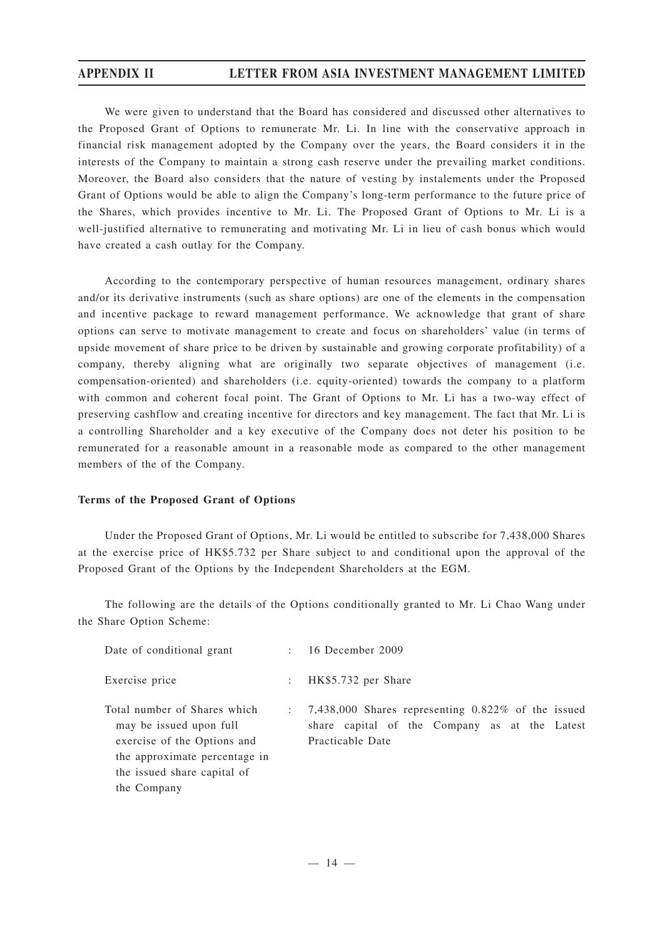We were given to understand that the Board has considered and discussed other alternatives to the Proposed Grant of Options to remunerate Mr. Li. In line with the conservative approach in financial risk management adopted by the Company over the years, the Board considers it in the interests of the Company to maintain a strong cash reserve under the prevailing market conditions. Moreover, the Board also considers that the nature of vesting by instalements under the Proposed Grant of Options would be able to align the Company's long-term performance to the future price of the Shares, which provides incentive to Mr. Li. The Proposed Grant of Options to Mr. Li is a well-justified alternative to remunerating and motivating Mr. Li in lieu of cash bonus which would have created a cash outlay for the Company.

According to the contemporary perspective of human resources management, ordinary shares and/or its derivative instruments (such as share options) are one of the elements in the compensation and incentive package to reward management performance. We acknowledge that grant of share options can serve to motivate management to create and focus on shareholders' value (in terms of upside movement of share price to be driven by sustainable and growing corporate profitability) of a company, thereby aligning what are originally two separate objectives of management (i.e. compensation-oriented) and shareholders (i.e. equity-oriented) towards the company to a platform with common and coherent focal point. The Grant of Options to Mr. Li has a two-way effect of preserving cashflow and creating incentive for directors and key management. The fact that Mr. Li is a controlling Shareholder and a key executive of the Company does not deter his position to be remunerated for a reasonable amount in a reasonable mode as compared to the other management members of the of the Company.

### **Terms of the Proposed Grant of Options**

Under the Proposed Grant of Options, Mr. Li would be entitled to subscribe for 7,438,000 Shares at the exercise price of HK\$5.732 per Share subject to and conditional upon the approval of the Proposed Grant of the Options by the Independent Shareholders at the EGM.

The following are the details of the Options conditionally granted to Mr. Li Chao Wang under the Share Option Scheme:

| Date of conditional grant                                                                                                                                             |                           | $: 16$ December 2009                                                                                                                  |
|-----------------------------------------------------------------------------------------------------------------------------------------------------------------------|---------------------------|---------------------------------------------------------------------------------------------------------------------------------------|
| Exercise price                                                                                                                                                        | $\mathbb{R}^{\mathbb{Z}}$ | HK\$5.732 per Share                                                                                                                   |
| Total number of Shares which<br>may be issued upon full<br>exercise of the Options and<br>the approximate percentage in<br>the issued share capital of<br>the Company |                           | $\therefore$ 7,438,000 Shares representing 0.822\% of the issued<br>share capital of the Company as at the Latest<br>Practicable Date |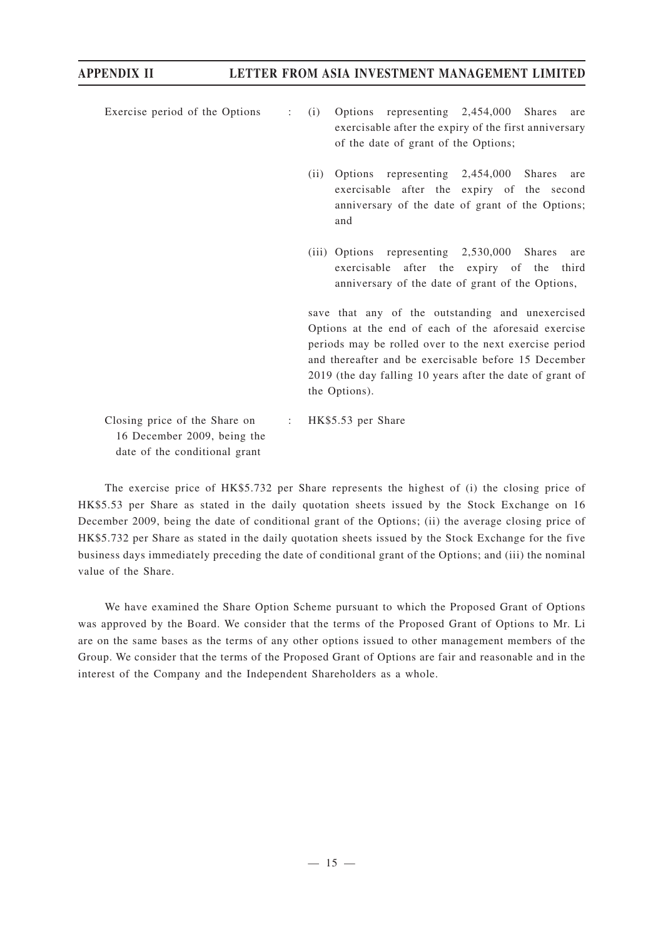- Exercise period of the Options : (i) Options representing 2,454,000 Shares are exercisable after the expiry of the first anniversary of the date of grant of the Options;
	- (ii) Options representing 2,454,000 Shares are exercisable after the expiry of the second anniversary of the date of grant of the Options; and
	- (iii) Options representing 2,530,000 Shares are exercisable after the expiry of the third anniversary of the date of grant of the Options,

save that any of the outstanding and unexercised Options at the end of each of the aforesaid exercise periods may be rolled over to the next exercise period and thereafter and be exercisable before 15 December 2019 (the day falling 10 years after the date of grant of the Options).

Closing price of the Share on 16 December 2009, being the date of the conditional grant : HK\$5.53 per Share

The exercise price of HK\$5.732 per Share represents the highest of (i) the closing price of HK\$5.53 per Share as stated in the daily quotation sheets issued by the Stock Exchange on 16 December 2009, being the date of conditional grant of the Options; (ii) the average closing price of HK\$5.732 per Share as stated in the daily quotation sheets issued by the Stock Exchange for the five business days immediately preceding the date of conditional grant of the Options; and (iii) the nominal value of the Share.

We have examined the Share Option Scheme pursuant to which the Proposed Grant of Options was approved by the Board. We consider that the terms of the Proposed Grant of Options to Mr. Li are on the same bases as the terms of any other options issued to other management members of the Group. We consider that the terms of the Proposed Grant of Options are fair and reasonable and in the interest of the Company and the Independent Shareholders as a whole.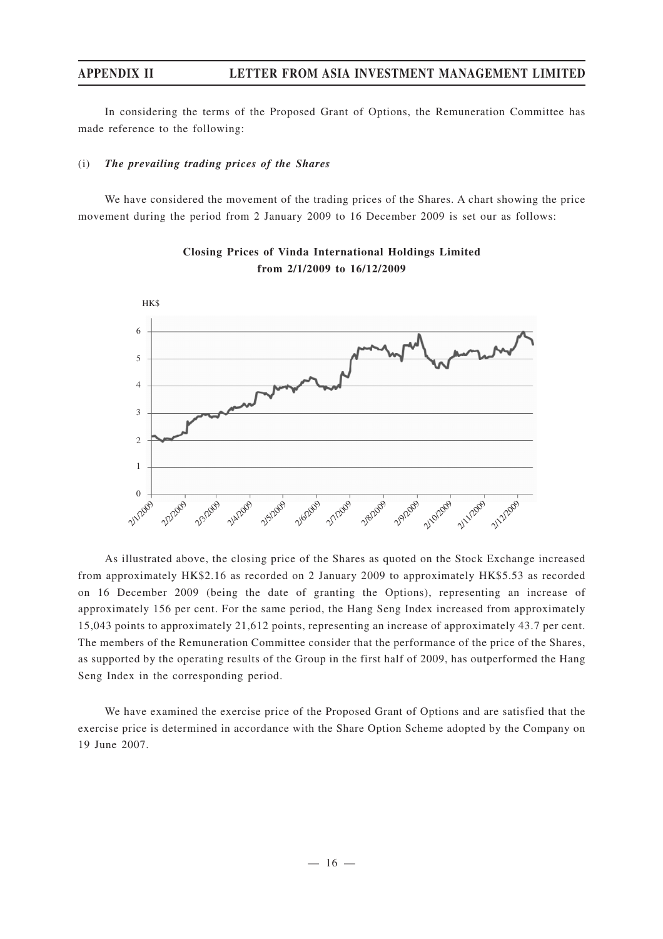In considering the terms of the Proposed Grant of Options, the Remuneration Committee has made reference to the following:

### (i) *The prevailing trading prices of the Shares*

We have considered the movement of the trading prices of the Shares. A chart showing the price movement during the period from 2 January 2009 to 16 December 2009 is set our as follows:



**Closing Prices of Vinda International Holdings Limited from 2/1/2009 to 16/12/2009**

As illustrated above, the closing price of the Shares as quoted on the Stock Exchange increased from approximately HK\$2.16 as recorded on 2 January 2009 to approximately HK\$5.53 as recorded on 16 December 2009 (being the date of granting the Options), representing an increase of approximately 156 per cent. For the same period, the Hang Seng Index increased from approximately 15,043 points to approximately 21,612 points, representing an increase of approximately 43.7 per cent. The members of the Remuneration Committee consider that the performance of the price of the Shares, as supported by the operating results of the Group in the first half of 2009, has outperformed the Hang Seng Index in the corresponding period.

We have examined the exercise price of the Proposed Grant of Options and are satisfied that the exercise price is determined in accordance with the Share Option Scheme adopted by the Company on 19 June 2007.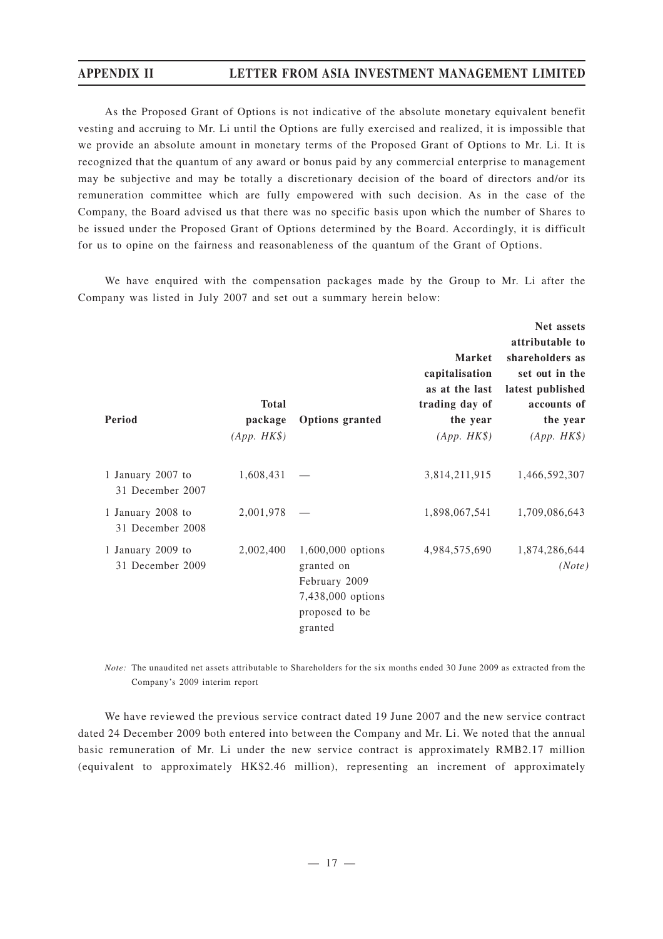As the Proposed Grant of Options is not indicative of the absolute monetary equivalent benefit vesting and accruing to Mr. Li until the Options are fully exercised and realized, it is impossible that we provide an absolute amount in monetary terms of the Proposed Grant of Options to Mr. Li. It is recognized that the quantum of any award or bonus paid by any commercial enterprise to management may be subjective and may be totally a discretionary decision of the board of directors and/or its remuneration committee which are fully empowered with such decision. As in the case of the Company, the Board advised us that there was no specific basis upon which the number of Shares to be issued under the Proposed Grant of Options determined by the Board. Accordingly, it is difficult for us to opine on the fairness and reasonableness of the quantum of the Grant of Options.

We have enquired with the compensation packages made by the Group to Mr. Li after the Company was listed in July 2007 and set out a summary herein below:

| Period                                | <b>Total</b><br>package<br>$(App. HK\$ | <b>Options</b> granted                                                                             | <b>Market</b><br>capitalisation<br>as at the last<br>trading day of<br>the year<br>$(App. HK\$ | Net assets<br>attributable to<br>shareholders as<br>set out in the<br>latest published<br>accounts of<br>the year<br>$(App. HK\$ |
|---------------------------------------|----------------------------------------|----------------------------------------------------------------------------------------------------|------------------------------------------------------------------------------------------------|----------------------------------------------------------------------------------------------------------------------------------|
| 1 January 2007 to<br>31 December 2007 | 1,608,431                              |                                                                                                    | 3,814,211,915                                                                                  | 1,466,592,307                                                                                                                    |
| 1 January 2008 to<br>31 December 2008 | 2,001,978                              |                                                                                                    | 1,898,067,541                                                                                  | 1,709,086,643                                                                                                                    |
| 1 January 2009 to<br>31 December 2009 | 2,002,400                              | 1,600,000 options<br>granted on<br>February 2009<br>7,438,000 options<br>proposed to be<br>granted | 4,984,575,690                                                                                  | 1,874,286,644<br>(Note)                                                                                                          |

*Note:* The unaudited net assets attributable to Shareholders for the six months ended 30 June 2009 as extracted from the Company's 2009 interim report

We have reviewed the previous service contract dated 19 June 2007 and the new service contract dated 24 December 2009 both entered into between the Company and Mr. Li. We noted that the annual basic remuneration of Mr. Li under the new service contract is approximately RMB2.17 million (equivalent to approximately HK\$2.46 million), representing an increment of approximately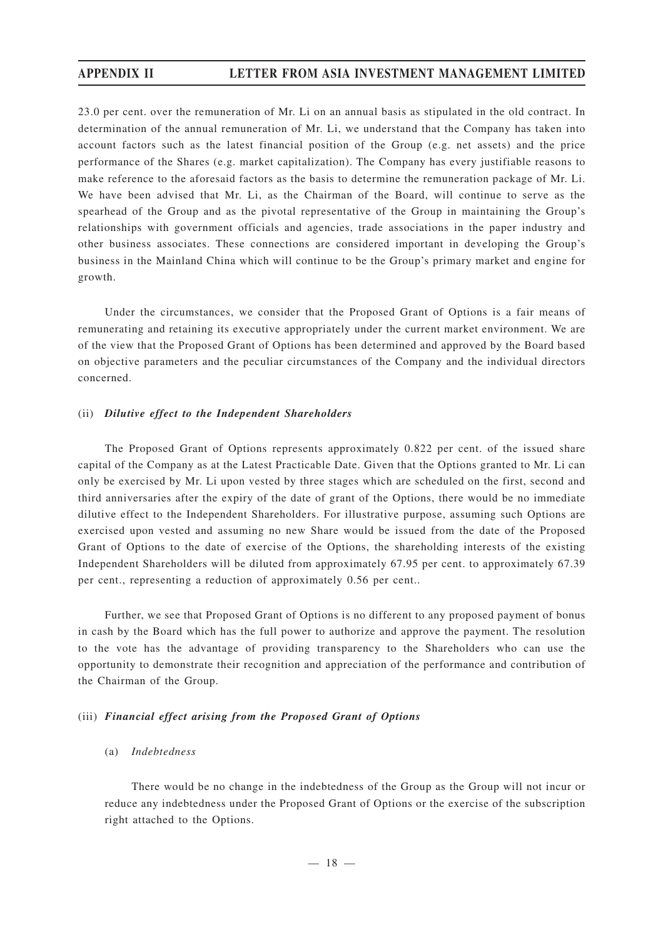23.0 per cent. over the remuneration of Mr. Li on an annual basis as stipulated in the old contract. In determination of the annual remuneration of Mr. Li, we understand that the Company has taken into account factors such as the latest financial position of the Group (e.g. net assets) and the price performance of the Shares (e.g. market capitalization). The Company has every justifiable reasons to make reference to the aforesaid factors as the basis to determine the remuneration package of Mr. Li. We have been advised that Mr. Li, as the Chairman of the Board, will continue to serve as the spearhead of the Group and as the pivotal representative of the Group in maintaining the Group's relationships with government officials and agencies, trade associations in the paper industry and other business associates. These connections are considered important in developing the Group's business in the Mainland China which will continue to be the Group's primary market and engine for growth.

Under the circumstances, we consider that the Proposed Grant of Options is a fair means of remunerating and retaining its executive appropriately under the current market environment. We are of the view that the Proposed Grant of Options has been determined and approved by the Board based on objective parameters and the peculiar circumstances of the Company and the individual directors concerned.

### (ii) *Dilutive effect to the Independent Shareholders*

The Proposed Grant of Options represents approximately 0.822 per cent. of the issued share capital of the Company as at the Latest Practicable Date. Given that the Options granted to Mr. Li can only be exercised by Mr. Li upon vested by three stages which are scheduled on the first, second and third anniversaries after the expiry of the date of grant of the Options, there would be no immediate dilutive effect to the Independent Shareholders. For illustrative purpose, assuming such Options are exercised upon vested and assuming no new Share would be issued from the date of the Proposed Grant of Options to the date of exercise of the Options, the shareholding interests of the existing Independent Shareholders will be diluted from approximately 67.95 per cent. to approximately 67.39 per cent., representing a reduction of approximately 0.56 per cent..

Further, we see that Proposed Grant of Options is no different to any proposed payment of bonus in cash by the Board which has the full power to authorize and approve the payment. The resolution to the vote has the advantage of providing transparency to the Shareholders who can use the opportunity to demonstrate their recognition and appreciation of the performance and contribution of the Chairman of the Group.

### (iii) *Financial effect arising from the Proposed Grant of Options*

### (a) *Indebtedness*

There would be no change in the indebtedness of the Group as the Group will not incur or reduce any indebtedness under the Proposed Grant of Options or the exercise of the subscription right attached to the Options.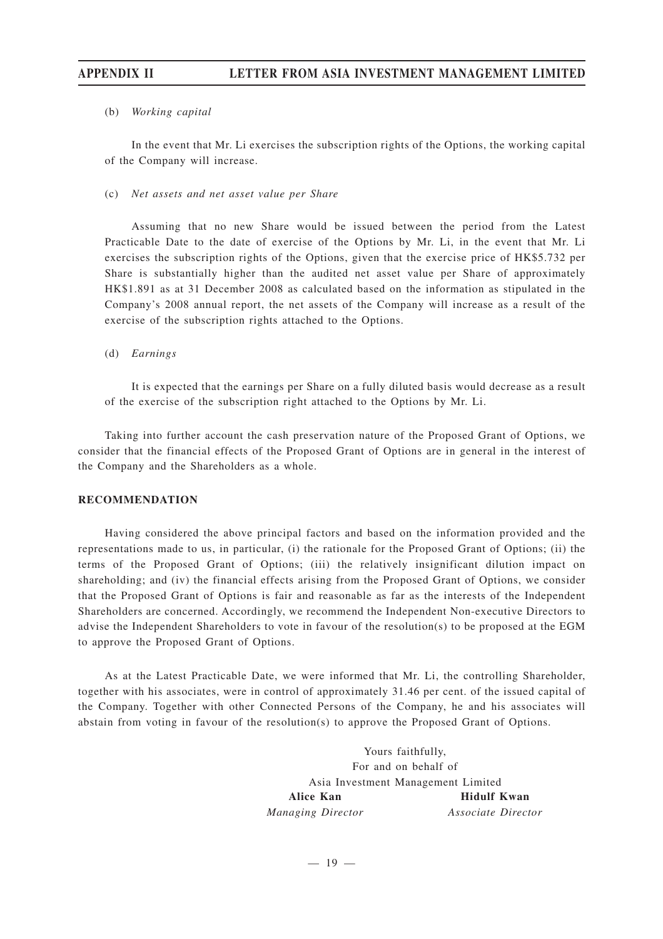### (b) *Working capital*

In the event that Mr. Li exercises the subscription rights of the Options, the working capital of the Company will increase.

(c) *Net assets and net asset value per Share*

Assuming that no new Share would be issued between the period from the Latest Practicable Date to the date of exercise of the Options by Mr. Li, in the event that Mr. Li exercises the subscription rights of the Options, given that the exercise price of HK\$5.732 per Share is substantially higher than the audited net asset value per Share of approximately HK\$1.891 as at 31 December 2008 as calculated based on the information as stipulated in the Company's 2008 annual report, the net assets of the Company will increase as a result of the exercise of the subscription rights attached to the Options.

### (d) *Earnings*

It is expected that the earnings per Share on a fully diluted basis would decrease as a result of the exercise of the subscription right attached to the Options by Mr. Li.

Taking into further account the cash preservation nature of the Proposed Grant of Options, we consider that the financial effects of the Proposed Grant of Options are in general in the interest of the Company and the Shareholders as a whole.

### **RECOMMENDATION**

Having considered the above principal factors and based on the information provided and the representations made to us, in particular, (i) the rationale for the Proposed Grant of Options; (ii) the terms of the Proposed Grant of Options; (iii) the relatively insignificant dilution impact on shareholding; and (iv) the financial effects arising from the Proposed Grant of Options, we consider that the Proposed Grant of Options is fair and reasonable as far as the interests of the Independent Shareholders are concerned. Accordingly, we recommend the Independent Non-executive Directors to advise the Independent Shareholders to vote in favour of the resolution(s) to be proposed at the EGM to approve the Proposed Grant of Options.

As at the Latest Practicable Date, we were informed that Mr. Li, the controlling Shareholder, together with his associates, were in control of approximately 31.46 per cent. of the issued capital of the Company. Together with other Connected Persons of the Company, he and his associates will abstain from voting in favour of the resolution(s) to approve the Proposed Grant of Options.

> Yours faithfully, For and on behalf of Asia Investment Management Limited **Alice Kan** *Managing Director* **Hidulf Kwan** *Associate Director*

> > $-19 -$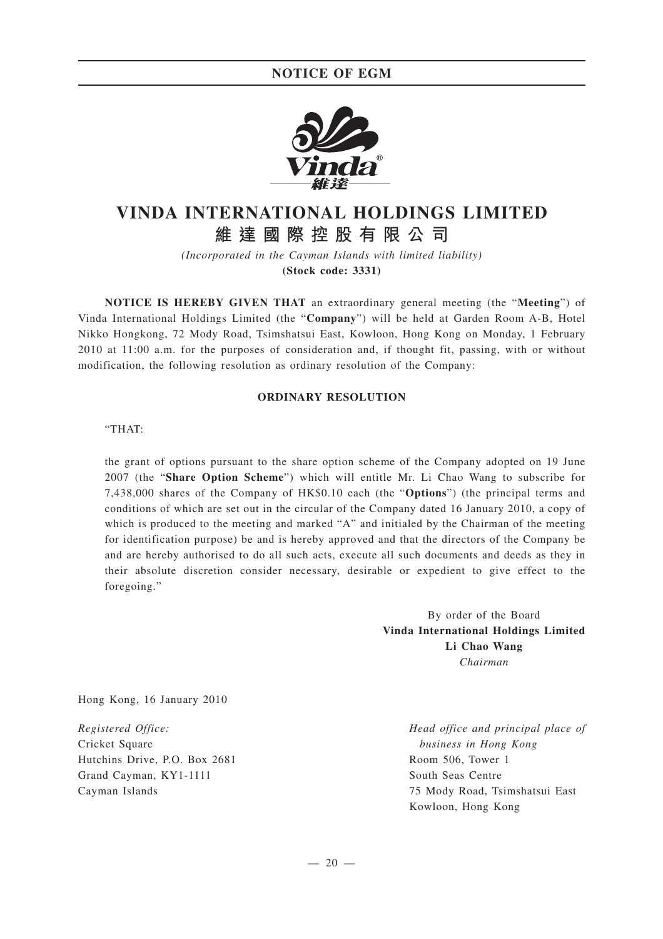

# **VINDA INTERNATIONAL HOLDINGS LIMITED 維達國際控股有限公司**

*(Incorporated in the Cayman Islands with limited liability)* **(Stock code: 3331)**

**NOTICE IS HEREBY GIVEN THAT** an extraordinary general meeting (the "**Meeting**") of Vinda International Holdings Limited (the "**Company**") will be held at Garden Room A-B, Hotel Nikko Hongkong, 72 Mody Road, Tsimshatsui East, Kowloon, Hong Kong on Monday, 1 February 2010 at 11:00 a.m. for the purposes of consideration and, if thought fit, passing, with or without modification, the following resolution as ordinary resolution of the Company:

### **ORDINARY RESOLUTION**

#### "THAT:

the grant of options pursuant to the share option scheme of the Company adopted on 19 June 2007 (the "**Share Option Scheme**") which will entitle Mr. Li Chao Wang to subscribe for 7,438,000 shares of the Company of HK\$0.10 each (the "**Options**") (the principal terms and conditions of which are set out in the circular of the Company dated 16 January 2010, a copy of which is produced to the meeting and marked "A" and initialed by the Chairman of the meeting for identification purpose) be and is hereby approved and that the directors of the Company be and are hereby authorised to do all such acts, execute all such documents and deeds as they in their absolute discretion consider necessary, desirable or expedient to give effect to the foregoing."

> By order of the Board **Vinda International Holdings Limited Li Chao Wang** *Chairman*

Hong Kong, 16 January 2010

*Registered Office:* Cricket Square Hutchins Drive, P.O. Box 2681 Grand Cayman, KY1-1111 Cayman Islands

*Head office and principal place of business in Hong Kong* Room 506, Tower 1 South Seas Centre 75 Mody Road, Tsimshatsui East Kowloon, Hong Kong